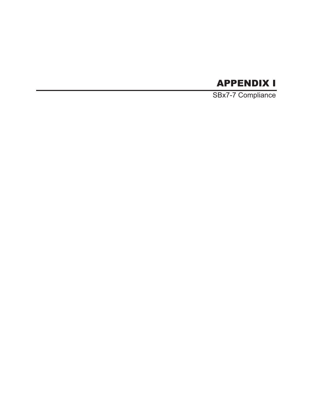# APPENDIX I

SBx7-7 Compliance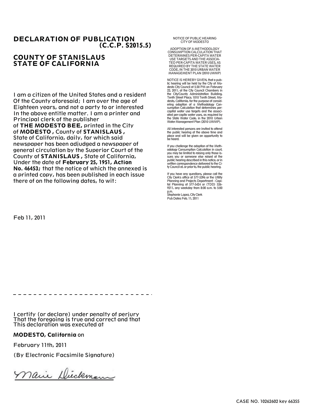#### DECLARATION OF PUBLICATION (C.C.P. S2015.5)

#### COUNTY OF STANISLAUS STATE OF CALIFORNIA

I am a citizen of the United States and a resident Of the County aforesaid; I am over the age of Eighteen years, and not a party to or interested In the above entitle matter. I am a printer and Principal clerk of the publisher of THE MODESTO BEE, printed in the City

of MODESTO , County of STANISLAUS , State of California, daily, for which said newspaper has been adjudged a newspaper of general circulation by the Superior Court of the County of STANISLAUS , State of California, Under the date of February 25, 1951, Action No. 46453; that the notice of which the annexed is a printed copy, has been published in each issue there of on the following dates, to wit:

NOTICE OF PUBLIC HEARING CITY OF MODESTO

ADOPTION OF AMETHODOLOGY CONSUMPTION CALCULATION THAT DETERMINES PER-CAPITAWATER USE TARGETS AND THE ASSOCIA-TED PER-CAPITAWATER USES, AS REQUIRED BY THE STATE WATER CODE, IN THE 2010 URBANWATER MANAGEMENT PLAN (2010 UWMP)

NOTICE IS HEREBY GIVEN, that a public hearing will be held by the City of Modesto City Council at 5:30 PM on February 22, 2011, at the City Council Chambers in the City/County Administration Building, Tenth Street Place, 1010 Tenth Street, Modesto, California, for the purpose of consid-ering adoption of a Methodology Consumption Calculation that determines percapital water use targets and the associated per-capita water uses, as required by the State Water Code, in the 2010 Urban Water Management Plan (2010 UWMP).

All interested persons are invited to attend the public hearing at the above time and place and will be given an opportunity to be heard.

If you challenge the adoption of the Methodology Consumption Calculation in court, you may be limited to raising only those issues you or someone else raised at the public hearing described in this notice, or in written correspondence delivered to the City Council at, or prior to, the public hearing.

If you have any questions, please call the City Clerk's office at 577-5396 or the Utility Planning and Projects Department - Capital Planning at 577-5424 or (TDD) 526- 9211, any weekday from 8:00 a.m. to 5:00 p.m.

Stephanie Lopez, City Clerk Pub Dates Feb. 11, 2011

Feb 11, 2011

I certify (or declare) under penalty of perjury

That the foregoing is true and correct and that This declaration was executed at

#### MODESTO, California on

February 11th, 2011

(By Electronic Facsimile Signature)

nair Dieckman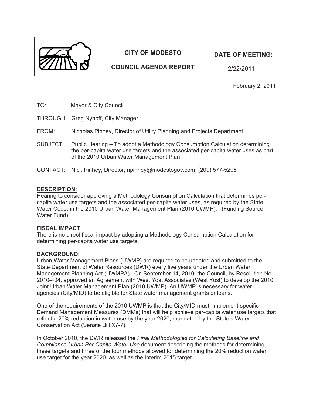

# **CITY OF MODESTO**

**COUNCIL AGENDA REPORT** 

**DATE OF MEETING:** 

2/22/2011

February 2, 2011

- TO: Mayor & City Council
- THROUGH: Greg Nyhoff, City Manager
- FROM: Nicholas Pinhey, Director of Utility Planning and Projects Department
- SUBJECT: Public Hearing To adopt a Methodology Consumption Calculation determining the per-capita water use targets and the associated per-capita water uses as part of the 2010 Urban Water Management Plan
- CONTACT: Nick Pinhey, Director, npinhey@modestogov.com, (209) 577-5205

#### **DESCRIPTION:**

Hearing to consider approving a Methodology Consumption Calculation that determines percapita water use targets and the associated per-capita water uses, as required by the State Water Code, in the 2010 Urban Water Management Plan (2010 UWMP). (Funding Source: Water Fund)

#### **FISCAL IMPACT:**

There is no direct fiscal impact by adopting a Methodology Consumption Calculation for determining per-capita water use targets.

#### **BACKGROUND:**

Urban Water Management Plans (UWMP) are required to be updated and submitted to the State Department of Water Resources (DWR) every five years under the Urban Water Management Planning Act (UWMPA). On September 14, 2010, the Council, by Resolution No. 2010-404, approved an Agreement with West Yost Associates (West Yost) to develop the 2010 Joint Urban Water Management Plan (2010 UWMP). An UWMP is necessary for water agencies (City/MID) to be eligible for State water management grants or loans.

One of the requirements of the 2010 UWMP is that the City/MID must implement specific Demand Management Measures (DMMs) that will help achieve per-capita water use targets that reflect a 20% reduction in water use by the year 2020, mandated by the State's Water Conservation Act (Senate Bill X7-7).

In October 2010, the DWR released the *Final Methodologies for Calculating Baseline and Compliance Urban Per Capita Water Use* document describing the methods for determining these targets and three of the four methods allowed for determining the 20% reduction water use target for the year 2020, as well as the Interim 2015 target.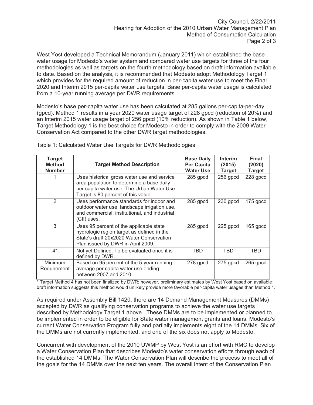West Yost developed a Technical Memorandum (January 2011) which established the base water usage for Modesto's water system and compared water use targets for three of the four methodologies as well as targets on the fourth methodology based on draft information available to date. Based on the analysis, it is recommended that Modesto adopt Methodology Target 1 which provides for the required amount of reduction in per-capita water use to meet the Final 2020 and Interim 2015 per-capita water use targets. Base per-capita water usage is calculated from a 10-year running average per DWR requirements.

Modesto's base per-capita water use has been calculated at 285 gallons per-capita-per-day (gpcd). Method 1 results in a year 2020 water usage target of 228 gpcd (reduction of 20%) and an Interim 2015 water usage target of 256 gpcd (10% reduction). As shown in Table 1 below, Target Methodology 1 is the best choice for Modesto in order to comply with the 2009 Water Conservation Act compared to the other DWR target methodologies.

| <b>Target</b><br><b>Method</b><br><b>Number</b> | <b>Target Method Description</b>                                                                                                                                             | <b>Base Daily</b><br>Per Capita<br><b>Water Use</b> | <b>Interim</b><br>(2015)<br><b>Target</b> | <b>Final</b><br>(2020)<br><b>Target</b> |
|-------------------------------------------------|------------------------------------------------------------------------------------------------------------------------------------------------------------------------------|-----------------------------------------------------|-------------------------------------------|-----------------------------------------|
|                                                 | Uses historical gross water use and service<br>area population to determine a base daily<br>per capita water use. The Urban Water Use<br>Target is 80 percent of this value. | 285 gpcd                                            | $256$ gpcd                                | 228 gpcd                                |
| 2                                               | Uses performance standards for indoor and<br>outdoor water use, landscape irrigation use,<br>and commercial, institutional, and industrial<br>(CII) uses.                    | 285 gpcd                                            | 230 gpcd                                  | $175$ gpcd                              |
| 3                                               | Uses 95 percent of the applicable state<br>hydrologic region target as defined in the<br>State's draft 20x2020 Water Conservation<br>Plan issued by DWR in April 2009.       | 285 gpcd                                            | 225 gpcd                                  | $165$ gpcd                              |
| $4^*$                                           | Not yet Defined. To be evaluated once it is<br>defined by DWR.                                                                                                               | TBD                                                 | TBD                                       | TBD                                     |
| Minimum<br>Requirement                          | Based on 95 percent of the 5-year running<br>average per capita water use ending<br>between 2007 and 2010.                                                                   | 278 gpcd                                            | 275 gpcd                                  | $265$ gpcd                              |

Table 1: Calculated Water Use Targets for DWR Methodologies

\* Target Method 4 has not been finalized by DWR; however, preliminary estimates by West Yost based on available draft information suggests this method would unlikely provide more favorable per-capita water usages than Method 1.

As required under Assembly Bill 1420, there are 14 Demand Management Measures (DMMs) accepted by DWR as qualifying conservation programs to achieve the water use targets described by Methodology Target 1 above. These DMMs are to be implemented or planned to be implemented in order to be eligible for State water management grants and loans. Modesto's current Water Conservation Program fully and partially implements eight of the 14 DMMs. Six of the DMMs are not currently implemented, and one of the six does not apply to Modesto.

Concurrent with development of the 2010 UWMP by West Yost is an effort with RMC to develop a Water Conservation Plan that describes Modesto's water conservation efforts through each of the established 14 DMMs. The Water Conservation Plan will describe the process to meet all of the goals for the 14 DMMs over the next ten years. The overall intent of the Conservation Plan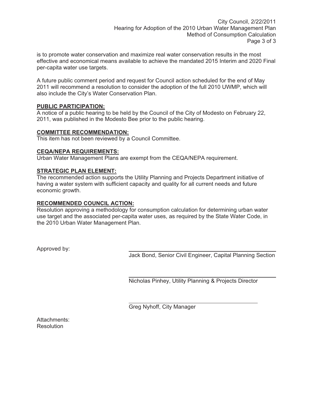is to promote water conservation and maximize real water conservation results in the most effective and economical means available to achieve the mandated 2015 Interim and 2020 Final per-capita water use targets.

A future public comment period and request for Council action scheduled for the end of May 2011 will recommend a resolution to consider the adoption of the full 2010 UWMP, which will also include the City's Water Conservation Plan.

## **PUBLIC PARTICIPATION:**

A notice of a public hearing to be held by the Council of the City of Modesto on February 22, 2011, was published in the Modesto Bee prior to the public hearing.

#### **COMMITTEE RECOMMENDATION:**

This item has not been reviewed by a Council Committee.

#### **CEQA/NEPA REQUIREMENTS:**

Urban Water Management Plans are exempt from the CEQA/NEPA requirement.

## **STRATEGIC PLAN ELEMENT:**

The recommended action supports the Utility Planning and Projects Department initiative of having a water system with sufficient capacity and quality for all current needs and future economic growth.

#### **RECOMMENDED COUNCIL ACTION:**

Resolution approving a methodology for consumption calculation for determining urban water use target and the associated per-capita water uses, as required by the State Water Code, in the 2010 Urban Water Management Plan.

Approved by:

Jack Bond, Senior Civil Engineer, Capital Planning Section

Nicholas Pinhey, Utility Planning & Projects Director

Greg Nyhoff, City Manager

Attachments: **Resolution**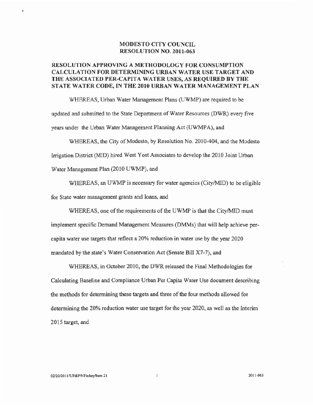#### **MODESTO CITY COUNCIL RESOLUTION NO. 2011-063**

## RESOLUTION APPROVING A METHODOLOGY FOR CONSUMPTION **CALCULATION FOR DETERMINING URBAN WATER USE TARGET AND** THE ASSOCIATED PER-CAPITA WATER USES, AS REQUIRED BY THE STATE WATER CODE, IN THE 2010 URBAN WATER MANAGEMENT PLAN

WHEREAS, Urban Water Management Plans (UWMP) are required to be updated and submitted to the State Department of Water Resources (DWR) every five years under the Urban Water Management Planning Act (UWMPA), and

WHEREAS, the City of Modesto, by Resolution No. 2010-404, and the Modesto

Irrigation District (MID) hired West Yost Associates to develop the 2010 Joint Urban

Water Management Plan (2010 UWMP), and

WHEREAS, an UWMP is necessary for water agencies (City/MID) to be eligible

for State water management grants and loans, and

WHEREAS, one of the requirements of the UWMP is that the City/MID must

implement specific Demand Management Measures (DMMs) that will help achieve percapita water use targets that reflect a 20% reduction in water use by the year 2020 mandated by the state's Water Conservation Act (Senate Bill X7-7), and

WHEREAS, in October 2010, the DWR released the Final Methodologies for Calculating Baseline and Compliance Urban Per Capita Water Use document describing the methods for determining these targets and three of the four methods allowed for determining the 20% reduction water use target for the year 2020, as well as the Interim 2015 target, and

2011-063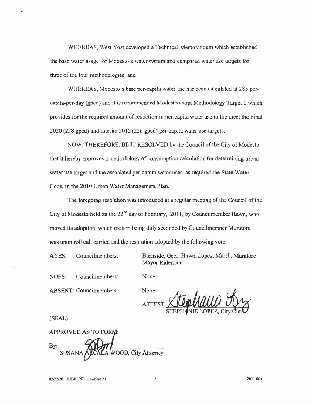WHEREAS, West Yost developed a Technical Memorandum which established the base water usage for Modesto's water system and compared water use targets for three of the four methodologies, and

WHEREAS, Modesto's base per-capita water use has been calculated at 285 percapita-per-day (gpcd) and it is recommended Modesto adopt Methodology Target 1 which provides for the required amount of reduction in per-capita water use to the meet the Final 2020 (228 gpcd) and Interim 2015 (256 gpcd) per-capita water use targets,

NOW, THEREFORE, BE IT RESOLVED by the Council of the City of Modesto that it hereby approves a methodology of consumption calculation for determining urban water use target and the associated per-capita water uses, as required the State Water Code, in the 2010 Urban Water Management Plan.

The foregoing resolution was introduced at a regular meeting of the Council of the City of Modesto held on the 22<sup>nd</sup> day of February, 2011, by Councilmember Hawn, who moved its adoption, which motion being duly seconded by Councilmember Muratore, was upon roll call carried and the resolution adopted by the following vote:

None

AYES: Councilmembers: Burnside, Geer, Hawn, Lopez, Marsh, Muratore Mayor Ridenour

NOES: Councilmembers:

**ABSENT:** Councilmembers:

None **ATTES** 

(SEAL)

**APPROVED AS TO FORM:** By: OOD, City Attorney

2011-063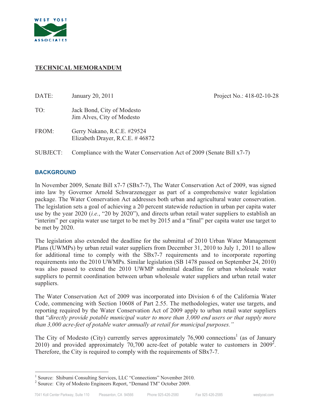

## **TECHNICAL MEMORANDUM**

| DATE:    | January 20, 2011                                                      | Project No.: 418-02-10-28 |
|----------|-----------------------------------------------------------------------|---------------------------|
| TO:      | Jack Bond, City of Modesto<br>Jim Alves, City of Modesto              |                           |
| FROM:    | Gerry Nakano, R.C.E. #29524<br>Elizabeth Drayer, R.C.E. $\#$ 46872    |                           |
| SUBJECT: | Compliance with the Water Conservation Act of 2009 (Senate Bill x7-7) |                           |

#### **BACKGROUND**

In November 2009, Senate Bill x7-7 (SBx7-7), The Water Conservation Act of 2009, was signed into law by Governor Arnold Schwarzenegger as part of a comprehensive water legislation package. The Water Conservation Act addresses both urban and agricultural water conservation. The legislation sets a goal of achieving a 20 percent statewide reduction in urban per capita water use by the year 2020 (*i.e.*, "20 by 2020"), and directs urban retail water suppliers to establish an "interim" per capita water use target to be met by 2015 and a "final" per capita water use target to be met by 2020.

The legislation also extended the deadline for the submittal of 2010 Urban Water Management Plans (UWMPs) by urban retail water suppliers from December 31, 2010 to July 1, 2011 to allow for additional time to comply with the SBx7-7 requirements and to incorporate reporting requirements into the 2010 UWMPs. Similar legislation (SB 1478 passed on September 24, 2010) was also passed to extend the 2010 UWMP submittal deadline for urban wholesale water suppliers to permit coordination between urban wholesale water suppliers and urban retail water suppliers.

The Water Conservation Act of 2009 was incorporated into Division 6 of the California Water Code, commencing with Section 10608 of Part 2.55. The methodologies, water use targets, and reporting required by the Water Conservation Act of 2009 apply to urban retail water suppliers that "*directly provide potable municipal water to more than 3,000 end users or that supply more than 3,000 acre-feet of potable water annually at retail for municipal purposes."*

The City of Modesto (City) currently serves approximately  $76,900$  connections<sup>1</sup> (as of January 2010) and provided approximately 70,700 acre-feet of potable water to customers in  $2009^2$ . Therefore, the City is required to comply with the requirements of SBx7-7.

<sup>&</sup>lt;sup>1</sup> Source: Shibumi Consulting Services, LLC "Connections" November 2010.<br><sup>2</sup> Source: City of Modesta Engineers Benert "Demand TM" Ostaber 2000.

<sup>&</sup>lt;sup>2</sup> Source: City of Modesto Engineers Report, "Demand TM" October 2009.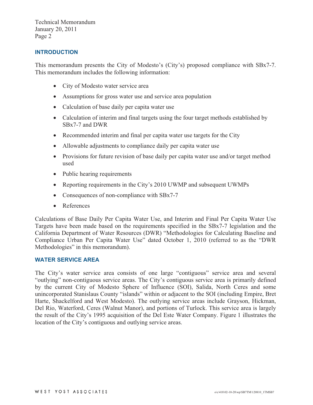#### **INTRODUCTION**

This memorandum presents the City of Modesto's (City's) proposed compliance with SBx7-7. This memorandum includes the following information:

- City of Modesto water service area
- Assumptions for gross water use and service area population
- Calculation of base daily per capita water use
- Calculation of interim and final targets using the four target methods established by SBx7-7 and DWR
- Recommended interim and final per capita water use targets for the City
- Allowable adjustments to compliance daily per capita water use
- Provisions for future revision of base daily per capita water use and/or target method used
- Public hearing requirements
- Reporting requirements in the City's 2010 UWMP and subsequent UWMPs
- Consequences of non-compliance with SBx7-7
- $\bullet$ References

Calculations of Base Daily Per Capita Water Use, and Interim and Final Per Capita Water Use Targets have been made based on the requirements specified in the SBx7-7 legislation and the California Department of Water Resources (DWR) "Methodologies for Calculating Baseline and Compliance Urban Per Capita Water Use" dated October 1, 2010 (referred to as the "DWR Methodologies" in this memorandum).

#### **WATER SERVICE AREA**

The City's water service area consists of one large "contiguous" service area and several "outlying" non-contiguous service areas. The City's contiguous service area is primarily defined by the current City of Modesto Sphere of Influence (SOI), Salida, North Ceres and some unincorporated Stanislaus County "islands" within or adjacent to the SOI (including Empire, Bret Harte, Shackelford and West Modesto). The outlying service areas include Grayson, Hickman, Del Rio, Waterford, Ceres (Walnut Manor), and portions of Turlock. This service area is largely the result of the City's 1995 acquisition of the Del Este Water Company. Figure 1 illustrates the location of the City's contiguous and outlying service areas.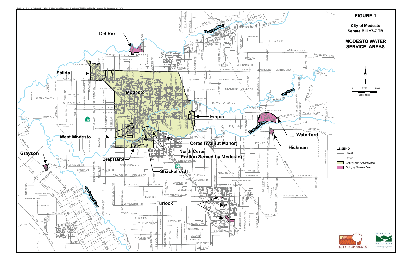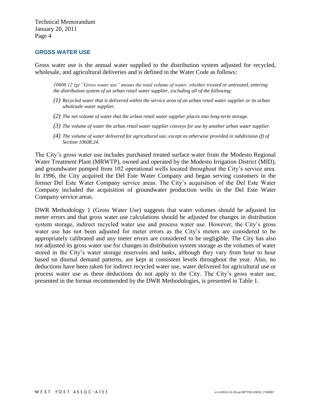#### **GROSS WATER USE**

Gross water use is the annual water supplied to the distribution system adjusted for recycled, wholesale, and agricultural deliveries and is defined in the Water Code as follows:

*10608.12 (g) "Gross water use" means the total volume of water, whether treated or untreated, entering the distribution system of an urban retail water supplier, excluding all of the following:* 

- *(1) Recycled water that is delivered within the service area of an urban retail water supplier or its urban wholesale water supplier.*
- *(2) The net volume of water that the urban retail water supplier places into long-term storage.*
- *(3) The volume of water the urban retail water supplier conveys for use by another urban water supplier.*
- *(4) The volume of water delivered for agricultural use, except as otherwise provided in subdivision (f) of Section 10608.24.*

The City's gross water use includes purchased treated surface water from the Modesto Regional Water Treatment Plant (MRWTP), owned and operated by the Modesto Irrigation District (MID), and groundwater pumped from 102 operational wells located throughout the City's service area. In 1996, the City acquired the Del Este Water Company and began serving customers in the former Del Este Water Company service areas. The City's acquisition of the Del Este Water Company included the acquisition of groundwater production wells in the Del Este Water Company service areas.

DWR Methodology 1 (Gross Water Use) suggests that water volumes should be adjusted for meter errors and that gross water use calculations should be adjusted for changes in distribution system storage, indirect recycled water use and process water use. However, the City's gross water use has not been adjusted for meter errors as the City's meters are considered to be appropriately calibrated and any meter errors are considered to be negligible. The City has also not adjusted its gross water use for changes in distribution system storage as the volumes of water stored in the City's water storage reservoirs and tanks, although they vary from hour to hour based on diurnal demand patterns, are kept at consistent levels throughout the year. Also, no deductions have been taken for indirect recycled water use, water delivered for agricultural use or process water use as these deductions do not apply to the City. The City's gross water use, presented in the format recommended by the DWR Methodologies, is presented in Table 1.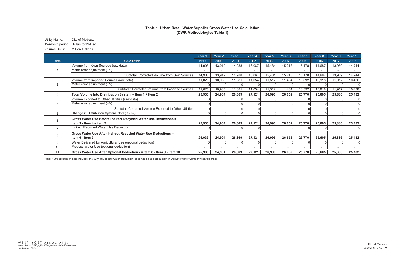| <b>Utility Name:</b> | City of Modesto                                                                                                                      |        |                   |                   |        |                   |                   |        |                   |        |              |
|----------------------|--------------------------------------------------------------------------------------------------------------------------------------|--------|-------------------|-------------------|--------|-------------------|-------------------|--------|-------------------|--------|--------------|
| 12-month period:     | 1-Jan to 31-Dec                                                                                                                      |        |                   |                   |        |                   |                   |        |                   |        |              |
| Volume Units:        | <b>Million Gallons</b>                                                                                                               |        |                   |                   |        |                   |                   |        |                   |        |              |
|                      |                                                                                                                                      | Year 1 | Year <sub>2</sub> | Year <sub>3</sub> | Year 4 | Year <sub>5</sub> | Year <sub>6</sub> | Year 7 | Year <sub>8</sub> | Year 9 | Year 10      |
| Item                 | Calculation                                                                                                                          | 1999   | 2000              | 2001              | 2002   | 2003              | 2004              | 2005   | 2006              | 2007   | 2008         |
|                      | Volume from Own Sources (raw data)                                                                                                   | 14,908 | 13,919            | 14,988            | 16,067 | 15,484            | 15,218            | 15,178 | 14,687            | 13,969 | 14,744       |
|                      | Meter error adjustment (+/-)                                                                                                         |        |                   |                   |        |                   |                   |        |                   |        |              |
|                      | Subtotal: Corrected Volume from Own Sources                                                                                          | 14,908 | 13,919            | 14,988            | 16,067 | 15,484            | 15,218            | 15,178 | 14,687            | 13,969 | 14,744       |
|                      | Volume from Imported Sources (raw data)                                                                                              | 11,025 | 10,985            | 11,381            | 11,054 | 11,512            | 11,434            | 10,592 | 10,918            | 11,917 | 10,438       |
|                      | Meter error adjustment (+/-)                                                                                                         |        |                   |                   |        |                   |                   |        |                   |        | $\mathbf{0}$ |
|                      | Subtotal: Corrected Volume from Imported Sources                                                                                     | 11,025 | 10,985            | 11,381            | 11,054 | 11,512            | 11,434            | 10,592 | 10,918            | 11,917 | 10,438       |
| 3                    | Total Volume Into Distribution System = Item 1 + Item 2                                                                              | 25,933 | 24,904            | 26,369            | 27,121 | 26,996            | 26,652            | 25,770 | 25,605            | 25,886 | 25,182       |
|                      | Volume Exported to Other Utiltities (raw data)                                                                                       |        |                   |                   |        |                   |                   |        |                   |        |              |
|                      | Meter error adjustment (+/-)                                                                                                         |        |                   |                   |        |                   |                   |        |                   |        | $\mathbf{0}$ |
|                      | Subtotal: Corrected Volume Exported to Other Utilities                                                                               |        |                   |                   |        |                   |                   |        |                   |        | $\mathbf{0}$ |
| 5                    | Change in Distribution System Storage (+/-)                                                                                          |        |                   |                   |        |                   |                   |        |                   |        | $\Omega$     |
|                      | Gross Water Use Before Indirect Recycled Water Use Deductions =                                                                      |        |                   |                   |        |                   |                   |        |                   |        |              |
|                      | Item 3 - Item 4 - Item 5                                                                                                             | 25,933 | 24,904            | 26,369            | 27,121 | 26,996            | 26,652            | 25,770 | 25,605            | 25,886 | 25,182       |
|                      | Indirect Recycled Water Use Deduction                                                                                                |        |                   |                   |        |                   |                   |        |                   |        |              |
|                      | Gross Water Use After Indirect Recycled Water Use Deductions =                                                                       |        |                   |                   |        |                   |                   |        |                   |        |              |
|                      | Item 6 - Item 7                                                                                                                      | 25,933 | 24,904            | 26,369            | 27,121 | 26,996            | 26,652            | 25,770 | 25,605            | 25,886 | 25,182       |
| 9                    | Water Delivered for Agricultural Use (optional deduction)                                                                            |        |                   |                   |        |                   |                   |        |                   |        | $\Omega$     |
| 10                   | Process Water Use (optional deduction)                                                                                               |        |                   |                   |        |                   |                   |        |                   |        |              |
| 11                   | Gross Water Use After Optional Deductions = Item 8 - Item 9 - Item 10                                                                | 25,933 | 24,904            | 26,369            | 27,121 | 26,996            | 26,652            | 25,770 | 25,605            | 25,886 | 25,182       |
|                      | to 1005 readiction data includes only City of Modern water production (does not include production in Del Este Water Company company |        |                   |                   |        |                   |                   |        |                   |        |              |

# **Table 1. Urban Retail Water Supplier Gross Water Use Calculation (DWR Methodologies Table 1)**

Note: 1995 production data includes only City of Modesto water production (does not include production in Del Este Water Company service area)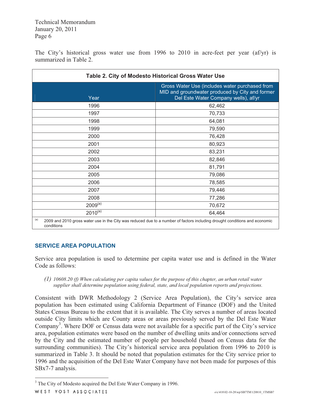The City's historical gross water use from 1996 to 2010 in acre-feet per year (af/yr) is summarized in Table 2.

| Table 2. City of Modesto Historical Gross Water Use |                                                                                                                                           |  |  |  |  |  |  |
|-----------------------------------------------------|-------------------------------------------------------------------------------------------------------------------------------------------|--|--|--|--|--|--|
| Year                                                | Gross Water Use (includes water purchased from<br>MID and groundwater produced by City and former<br>Del Este Water Company wells), af/yr |  |  |  |  |  |  |
| 1996                                                | 62,462                                                                                                                                    |  |  |  |  |  |  |
| 1997                                                | 70,733                                                                                                                                    |  |  |  |  |  |  |
| 1998                                                | 64,081                                                                                                                                    |  |  |  |  |  |  |
| 1999                                                | 79,590                                                                                                                                    |  |  |  |  |  |  |
| 2000                                                | 76,428                                                                                                                                    |  |  |  |  |  |  |
| 2001                                                | 80,923                                                                                                                                    |  |  |  |  |  |  |
| 2002                                                | 83,231                                                                                                                                    |  |  |  |  |  |  |
| 2003                                                | 82,846                                                                                                                                    |  |  |  |  |  |  |
| 2004                                                | 81,791                                                                                                                                    |  |  |  |  |  |  |
| 2005                                                | 79,086                                                                                                                                    |  |  |  |  |  |  |
| 2006                                                | 78,585                                                                                                                                    |  |  |  |  |  |  |
| 2007                                                | 79,446                                                                                                                                    |  |  |  |  |  |  |
| 2008                                                | 77,286                                                                                                                                    |  |  |  |  |  |  |
| $2009^{(a)}$                                        | 70,672                                                                                                                                    |  |  |  |  |  |  |
| $2010^{(a)}$                                        | 64,464                                                                                                                                    |  |  |  |  |  |  |
| (a)<br>conditions                                   | 2009 and 2010 gross water use in the City was reduced due to a number of factors including drought conditions and economic                |  |  |  |  |  |  |

#### **SERVICE AREA POPULATION**

Service area population is used to determine per capita water use and is defined in the Water Code as follows:

*(1) 10608.20 (f) When calculating per capita values for the purpose of this chapter, an urban retail water supplier shall determine population using federal, state, and local population reports and projections.*

Consistent with DWR Methodology 2 (Service Area Population), the City's service area population has been estimated using California Department of Finance (DOF) and the United States Census Bureau to the extent that it is available. The City serves a number of areas located outside City limits which are County areas or areas previously served by the Del Este Water Company<sup>3</sup>. Where DOF or Census data were not available for a specific part of the City's service area, population estimates were based on the number of dwelling units and/or connections served by the City and the estimated number of people per household (based on Census data for the surrounding communities). The City's historical service area population from 1996 to 2010 is summarized in Table 3. It should be noted that population estimates for the City service prior to 1996 and the acquisition of the Del Este Water Company have not been made for purposes of this SBx7-7 analysis.

<sup>&</sup>lt;sup>3</sup> The City of Modesto acquired the Del Este Water Company in 1996.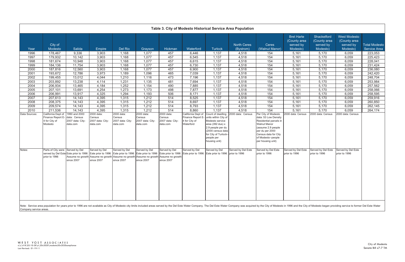Note: Service area population for years prior to 1996 are not available as City of Modesto city limits included areas served by the Del Este Water Company. The Del Este Water Company was acquired by the City of Modesto in Company service areas.

|               |                                                   |                                              |                                        |                                                                                                                                                                                                                         |                                        |                                        |                            |                                                                                                                                                                                 | Table 3. City of Modesto Historical Service Area Population |                                                                                                                                                                                   |                                                            |                                                      |                                                              |                                             |
|---------------|---------------------------------------------------|----------------------------------------------|----------------------------------------|-------------------------------------------------------------------------------------------------------------------------------------------------------------------------------------------------------------------------|----------------------------------------|----------------------------------------|----------------------------|---------------------------------------------------------------------------------------------------------------------------------------------------------------------------------|-------------------------------------------------------------|-----------------------------------------------------------------------------------------------------------------------------------------------------------------------------------|------------------------------------------------------------|------------------------------------------------------|--------------------------------------------------------------|---------------------------------------------|
| Year          | City of<br>Modesto                                | Salida                                       | Empire                                 | Del Rio                                                                                                                                                                                                                 | Grayson                                | Hickman                                | Waterford                  | <b>Turlock</b>                                                                                                                                                                  | <b>North Ceres</b><br>(Bystrom)                             | Ceres<br>(Walnut Manor)                                                                                                                                                           | <b>Bret Harte</b><br>(County area<br>served by<br>Modesto) | Shackelford<br>(County area<br>served by<br>Modesto) | <b>West Modesto</b><br>(County area<br>served by<br>Modesto) | <b>Total Modesto</b><br><b>Service Area</b> |
|               |                                                   |                                              |                                        | 1,168                                                                                                                                                                                                                   |                                        |                                        |                            |                                                                                                                                                                                 |                                                             |                                                                                                                                                                                   |                                                            |                                                      |                                                              |                                             |
| 1996          | 178,467<br>179,932                                | 9,336                                        | 3,903                                  | 1,168                                                                                                                                                                                                                   | 1,077                                  | 457<br>457                             | 6,446                      | 1,137<br>1,137                                                                                                                                                                  | 4,518                                                       | 154<br>154                                                                                                                                                                        | 5,161                                                      | 5,170                                                | 6,059                                                        | 223,053                                     |
| 1997<br>1998  | 181,674                                           | 10,142<br>10,948                             | 3,903                                  | 1,168                                                                                                                                                                                                                   | 1,077<br>1,077                         | 457                                    | 6,545<br>6,615             |                                                                                                                                                                                 | 4,518                                                       | 154                                                                                                                                                                               | 5,161                                                      | 5,170                                                | 6,059                                                        | 225,423                                     |
|               |                                                   |                                              | 3,903                                  | 1,168                                                                                                                                                                                                                   |                                        | 457                                    |                            | 1,137                                                                                                                                                                           | 4,518                                                       |                                                                                                                                                                                   | 5,161                                                      | 5,170                                                | 6,059                                                        | 228,041                                     |
| 1999          | 184,136                                           | 11,754                                       | 3,903                                  |                                                                                                                                                                                                                         | 1,077                                  |                                        | 6,730                      | 1,137                                                                                                                                                                           | 4,518                                                       | 154<br>154                                                                                                                                                                        | 5,161                                                      | 5,170                                                | 6,059                                                        | 231,424                                     |
| 2000          | 187,816                                           | 12,560                                       | 3,903                                  | 1,168                                                                                                                                                                                                                   | 1,077                                  | 457                                    | 6,900                      | 1,137                                                                                                                                                                           | 4,518                                                       |                                                                                                                                                                                   | 5,161                                                      | 5,170                                                | 6,059                                                        | 236,080                                     |
| 2001          | 193,672                                           | 12,786                                       | 3,973                                  | 1,189                                                                                                                                                                                                                   | 1,096                                  | 465                                    | 7,039                      | 1,137                                                                                                                                                                           | 4,518                                                       | 154                                                                                                                                                                               | 5,161                                                      | 5,170                                                | 6,059                                                        | 242,420                                     |
| 2002          | 199,455                                           | 13,012                                       | 4,044                                  | 1,210                                                                                                                                                                                                                   | 1,116                                  | 473                                    | 7,196                      | 1,137                                                                                                                                                                           | 4,518                                                       | 154                                                                                                                                                                               | 5,161                                                      | 5,170                                                | 6,059                                                        | 248,704                                     |
| 2003          | 203,892                                           | 13,238                                       | 4,114                                  | 1,231                                                                                                                                                                                                                   | 1,135                                  | 481                                    | 7,694                      | 1,137                                                                                                                                                                           | 4,518                                                       | 154                                                                                                                                                                               | 5,161                                                      | 5,170                                                | 6,059                                                        | 253,984                                     |
| 2004          | 206,934                                           | 13,465                                       | 4,184                                  | 1,252                                                                                                                                                                                                                   | 1,154                                  | 490                                    | 7,885                      | 1,137                                                                                                                                                                           | 4,518                                                       | 154                                                                                                                                                                               | 5,161                                                      | 5,170                                                | 6,059                                                        | 257,562                                     |
| 2005          | 207,101                                           | 13,691                                       | 4,254                                  | 1,273                                                                                                                                                                                                                   | 1,173                                  | 498                                    | 7,877                      | 1,137                                                                                                                                                                           | 4,518                                                       | 154                                                                                                                                                                               | 5,161                                                      | 5,170                                                | 6,059                                                        | 258,066                                     |
| 2006          | 206,991                                           | 13,917                                       | 4,325                                  | 1,294                                                                                                                                                                                                                   | 1,193                                  | 506                                    | 8,171                      | 1,137                                                                                                                                                                           | 4,518                                                       | 154<br>$\overline{154}$                                                                                                                                                           | 5,161                                                      | 5,170                                                | 6,059                                                        | 258,595                                     |
| 2007          | 207,613                                           | 14,143                                       | 4,395                                  | 1,315                                                                                                                                                                                                                   | 1,212                                  | 514                                    | 8,525                      | 1,137                                                                                                                                                                           | 4,518                                                       | 154                                                                                                                                                                               | 5,161                                                      | 5,170                                                | 6,059                                                        | 259,916                                     |
| 2008          | 208,375                                           | 14,143                                       | 4,395                                  | 1,315                                                                                                                                                                                                                   | 1,212                                  | 514                                    | 8,697                      | 1,137                                                                                                                                                                           | 4,518                                                       |                                                                                                                                                                                   | 5,161                                                      | 5,170                                                | 6,059                                                        | 260,850                                     |
| 2009<br>2010  | 209,574<br>211,536                                | 14,143                                       | 4,395<br>4,395                         | 1,315<br>1,315                                                                                                                                                                                                          | 1,212                                  | 514<br>514                             | 8,793<br>8,860             | 1,137<br>1,137                                                                                                                                                                  | 4,518<br>4,518                                              | 154<br>154                                                                                                                                                                        | 5,161<br>5,161                                             | 5,170<br>5,170                                       | 6,059<br>6,059                                               | 262,145                                     |
| Data Sources: | California Dept of                                | 14,143<br>1990 and 2000                      | 2000 data:                             | 2000 data:                                                                                                                                                                                                              | 1,212<br>2000 data:                    | 2000 data:                             |                            |                                                                                                                                                                                 | California Dept of Count of dwelling 2000 data: Census      | Per City of Modesto                                                                                                                                                               | 2000 data: Census                                          | 2000 data: Census                                    | 2000 data: Census                                            | 264,174                                     |
|               | Finance Report E-<br>4 for City of<br>Modesto     | data: Census<br>2007 data: City-<br>data.com | Census<br>2007 data: City-<br>data.com | Census<br>2007 data: City-<br>data.com                                                                                                                                                                                  | Census<br>2007 data: City-<br>data.com | Census<br>2007 data: City-<br>data.com | 4 for City of<br>Waterford | Finance Report E- units within City of<br>Modesto service<br>area (392 dus) x<br>2.9 people per du<br>(2000 census data<br>for City of Turlock--<br>people per<br>housing unit) |                                                             | data: 53 Low Density<br>Residential parcels in<br><b>Walnut Manor</b><br>(assume 2.9 people<br>per du per 2000<br>Census data for City<br>of Modesto--people<br>per housing unit) |                                                            |                                                      |                                                              |                                             |
| Notes:        | Parts of City were Served by Del<br>prior to 1996 | Assume no growth<br>since 2007               | Served by Del<br>since 2007            | Served by Del<br>served by Del Este Este prior to 1996 Este prior to 1996 Este prior to 1996 Este prior to 1996 Este prior to 1996<br>Assume no growth Assume no growth Assume no growth Assume no growth<br>since 2007 | Served by Del<br>since 2007            | Served by Del<br>since 2007            | Served by Del              | Served by Del<br>Este prior to 1996 Este prior to 1996 prior to 1996                                                                                                            | Served by Del Este                                          | Served by Del Este<br>prior to 1996                                                                                                                                               | Served by Del Este<br>prior to 1996                        | Served by Del Este<br>prior to 1996                  | Served by Del Este<br>prior to 1996                          |                                             |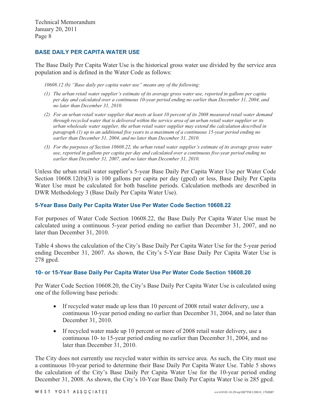#### **BASE DAILY PER CAPITA WATER USE**

The Base Daily Per Capita Water Use is the historical gross water use divided by the service area population and is defined in the Water Code as follows:

*10608.12 (b) "Base daily per capita water use" means any of the following:* 

- *(1) The urban retail water supplier's estimate of its average gross water use, reported in gallons per capita per day and calculated over a continuous 10-year period ending no earlier than December 31, 2004, and no later than December 31, 2010.*
- *(2) For an urban retail water supplier that meets at least 10 percent of its 2008 measured retail water demand through recycled water that is delivered within the service area of an urban retail water supplier or its urban wholesale water supplier, the urban retail water supplier may extend the calculation described in paragraph (1) up to an additional five years to a maximum of a continuous 15-year period ending no earlier than December 31, 2004, and no later than December 31, 2010.*
- *(3) For the purposes of Section 10608.22, the urban retail water supplier's estimate of its average gross water use, reported in gallons per capita per day and calculated over a continuous five-year period ending no earlier than December 31, 2007, and no later than December 31, 2010.*

Unless the urban retail water supplier's 5-year Base Daily Per Capita Water Use per Water Code Section 10608.12(b)(3) is 100 gallons per capita per day (gpcd) or less, Base Daily Per Capita Water Use must be calculated for both baseline periods. Calculation methods are described in DWR Methodology 3 (Base Daily Per Capita Water Use).

#### **5-Year Base Daily Per Capita Water Use Per Water Code Section 10608.22**

For purposes of Water Code Section 10608.22, the Base Daily Per Capita Water Use must be calculated using a continuous 5-year period ending no earlier than December 31, 2007, and no later than December 31, 2010.

Table 4 shows the calculation of the City's Base Daily Per Capita Water Use for the 5-year period ending December 31, 2007. As shown, the City's 5-Year Base Daily Per Capita Water Use is 278 gpcd.

#### **10- or 15-Year Base Daily Per Capita Water Use Per Water Code Section 10608.20**

Per Water Code Section 10608.20, the City's Base Daily Per Capita Water Use is calculated using one of the following base periods:

- - If recycled water made up less than 10 percent of 2008 retail water delivery, use a continuous 10-year period ending no earlier than December 31, 2004, and no later than December 31, 2010.
- If recycled water made up 10 percent or more of 2008 retail water delivery, use a continuous 10- to 15-year period ending no earlier than December 31, 2004, and no later than December 31, 2010.

The City does not currently use recycled water within its service area. As such, the City must use a continuous 10-year period to determine their Base Daily Per Capita Water Use. Table 5 shows the calculation of the City's Base Daily Per Capita Water Use for the 10-year period ending December 31, 2008. As shown, the City's 10-Year Base Daily Per Capita Water Use is 285 gpcd.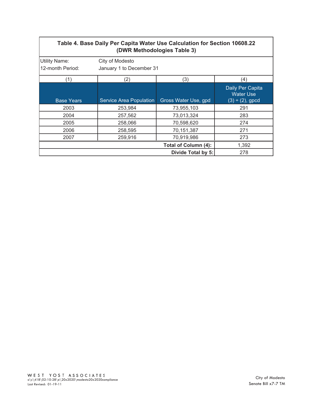# **Table 4. Base Daily Per Capita Water Use Calculation for Section 10608.22 (DWR Methodologies Table 3)**

| <b>Utility Name:</b> | City of Modesto          |                      |                                                               |
|----------------------|--------------------------|----------------------|---------------------------------------------------------------|
| 12-month Period:     | January 1 to December 31 |                      |                                                               |
| (1)                  | (2)                      | (3)                  | (4)                                                           |
| <b>Base Years</b>    | Service Area Population  | Gross Water Use, gpd | Daily Per Capita<br><b>Water Use</b><br>$(3) \div (2)$ , gpcd |
| 2003                 | 253,984                  | 73,955,103           | 291                                                           |
| 2004                 | 257,562                  | 73,013,324           | 283                                                           |
| 2005                 | 258,066                  | 70,598,620           | 274                                                           |
| 2006                 | 258,595                  | 70,151,387           | 271                                                           |
| 2007                 | 259,916                  | 70,919,986           | 273                                                           |
|                      |                          | Total of Column (4): | 1,392                                                         |
|                      |                          | Divide Total by 5:   | 278                                                           |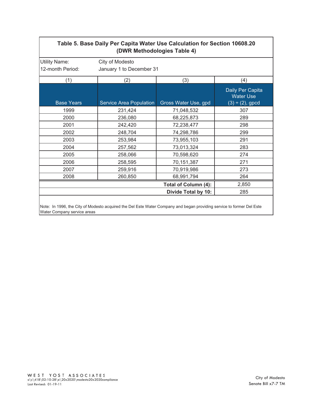# **Table 5. Base Daily Per Capita Water Use Calculation for Section 10608.20 (DWR Methodologies Table 4)**

| <b>Utility Name:</b> | City of Modesto                |                             |                                                               |
|----------------------|--------------------------------|-----------------------------|---------------------------------------------------------------|
| 12-month Period:     | January 1 to December 31       |                             |                                                               |
| (1)                  | (2)                            | (3)                         | (4)                                                           |
| <b>Base Years</b>    | <b>Service Area Population</b> | Gross Water Use, gpd        | Daily Per Capita<br><b>Water Use</b><br>$(3) \div (2)$ , gpcd |
| 1999                 | 231,424                        | 71,048,532                  | 307                                                           |
| 2000                 | 236,080                        | 68,225,873                  | 289                                                           |
| 2001                 | 242,420                        | 72,238,477                  | 298                                                           |
| 2002                 | 248,704                        | 74,298,786                  | 299                                                           |
| 2003                 | 253,984                        | 73,955,103                  | 291                                                           |
| 2004                 | 257,562                        | 73,013,324                  | 283                                                           |
| 2005                 | 258,066                        | 70,598,620                  | 274                                                           |
| 2006                 | 258,595                        | 70,151,387                  | 271                                                           |
| 2007                 | 259,916                        | 70,919,986                  | 273                                                           |
| 2008                 | 260,850                        | 68,991,794                  | 264                                                           |
|                      |                                | <b>Total of Column (4):</b> | 2,850                                                         |
|                      |                                | Divide Total by 10:         | 285                                                           |

Note: In 1996, the City of Modesto acquired the Del Este Water Company and began providing service to former Del Este Water Company service areas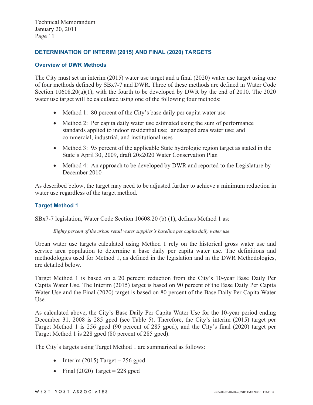#### **DETERMINATION OF INTERIM (2015) AND FINAL (2020) TARGETS**

#### **Overview of DWR Methods**

The City must set an interim (2015) water use target and a final (2020) water use target using one of four methods defined by SBx7-7 and DWR. Three of these methods are defined in Water Code Section  $10608.20(a)(1)$ , with the fourth to be developed by DWR by the end of 2010. The 2020 water use target will be calculated using one of the following four methods:

- Method 1: 80 percent of the City's base daily per capita water use
- Method 2: Per capita daily water use estimated using the sum of performance standards applied to indoor residential use; landscaped area water use; and commercial, industrial, and institutional uses
- Method 3: 95 percent of the applicable State hydrologic region target as stated in the State's April 30, 2009, draft 20x2020 Water Conservation Plan
- Method 4: An approach to be developed by DWR and reported to the Legislature by December 2010

As described below, the target may need to be adjusted further to achieve a minimum reduction in water use regardless of the target method.

#### **Target Method 1**

SBx7-7 legislation, Water Code Section 10608.20 (b) (1), defines Method 1 as:

*Eighty percent of the urban retail water supplier's baseline per capita daily water use.* 

Urban water use targets calculated using Method 1 rely on the historical gross water use and service area population to determine a base daily per capita water use. The definitions and methodologies used for Method 1, as defined in the legislation and in the DWR Methodologies, are detailed below.

Target Method 1 is based on a 20 percent reduction from the City's 10-year Base Daily Per Capita Water Use. The Interim (2015) target is based on 90 percent of the Base Daily Per Capita Water Use and the Final (2020) target is based on 80 percent of the Base Daily Per Capita Water Use.

As calculated above, the City's Base Daily Per Capita Water Use for the 10-year period ending December 31, 2008 is 285 gpcd (see Table 5). Therefore, the City's interim (2015) target per Target Method 1 is 256 gpcd (90 percent of 285 gpcd), and the City's final (2020) target per Target Method 1 is 228 gpcd (80 percent of 285 gpcd).

The City's targets using Target Method 1 are summarized as follows:

- $\bullet$  Interim (2015) Target = 256 gpcd
- $\bullet$  Final (2020) Target = 228 gpcd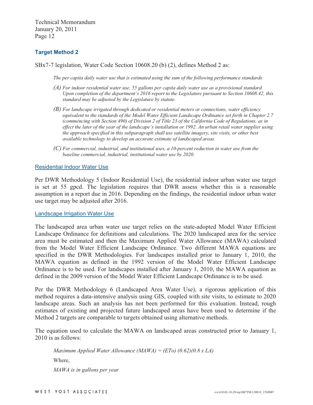## **Target Method 2**

SBx7-7 legislation, Water Code Section 10608.20 (b) (2), defines Method 2 as:

*The per capita daily water use that is estimated using the sum of the following performance standards:* 

- *(A) For indoor residential water use, 55 gallons per capita daily water use as a provisional standard. Upon completion of the department's 2016 report to the Legislature pursuant to Section 10608.42, this standard may be adjusted by the Legislature by statute.*
- *(B) For landscape irrigated through dedicated or residential meters or connections, water efficiency equivalent to the standards of the Model Water Efficient Landscape Ordinance set forth in Chapter 2.7 (commencing with Section 490) of Division 2 of Title 23 of the California Code of Regulations, as in effect the later of the year of the landscape's installation or 1992. An urban retail water supplier using the approach specified in this subparagraph shall use satellite imagery, site visits, or other best available technology to develop an accurate estimate of landscaped areas.*
- *(C) For commercial, industrial, and institutional uses, a 10-percent reduction in water use from the baseline commercial, industrial, institutional water use by 2020.*

#### Residential Indoor Water Use

Per DWR Methodology 5 (Indoor Residential Use), the residential indoor urban water use target is set at 55 gpcd. The legislation requires that DWR assess whether this is a reasonable assumption in a report due in 2016. Depending on the findings, the residential indoor urban water use target may be adjusted after 2016.

Landscape Irrigation Water Use

The landscaped area urban water use target relies on the state-adopted Model Water Efficient Landscape Ordinance for definitions and calculations. The 2020 landscaped area for the service area must be estimated and then the Maximum Applied Water Allowance (MAWA) calculated from the Model Water Efficient Landscape Ordinance. Two different MAWA equations are specified in the DWR Methodologies. For landscapes installed prior to January 1, 2010, the MAWA equation as defined in the 1992 version of the Model Water Efficient Landscape Ordinance is to be used. For landscapes installed after January 1, 2010, the MAWA equation as defined in the 2009 version of the Model Water Efficient Landscape Ordinance is to be used.

Per the DWR Methodology 6 (Landscaped Area Water Use), a rigorous application of this method requires a data-intensive analysis using GIS, coupled with site visits, to estimate to 2020 landscape areas. Such an analysis has not been performed for this evaluation. Instead, rough estimates of existing and projected future landscaped areas have been used to determine if the Method 2 targets are comparable to targets obtained using alternative methods.

The equation used to calculate the MAWA on landscaped areas constructed prior to January 1, 2010 is as follows:

*Maximum Applied Water Allowance (MAWA) = (ETo) (0.62)(0.8 x LA)*  Where, *MAWA is in gallons per year*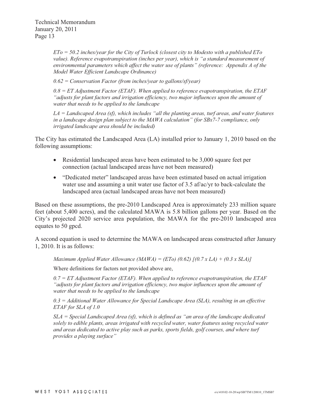*ETo = 50.2 inches/year for the City of Turlock (closest city to Modesto with a published ETo value). Reference evapotranspiration (inches per year), which is "a standard measurement of environmental parameters which affect the water use of plants" (reference: Appendix A of the Model Water Efficient Landscape Ordinance)* 

*0.62 = Conservation Factor (from inches/year to gallons/sf/year)* 

*0.8 = ET Adjustment Factor (ETAF). When applied to reference evapotranspiration, the ETAF "adjusts for plant factors and irrigation efficiency, two major influences upon the amount of water that needs to be applied to the landscape* 

*LA = Landscaped Area (sf), which includes "all the planting areas, turf areas, and water features in a landscape design plan subject to the MAWA calculation" (for SBx7-7 compliance, only irrigated landscape area should be included)* 

The City has estimated the Landscaped Area (LA) installed prior to January 1, 2010 based on the following assumptions:

- Residential landscaped areas have been estimated to be 3,000 square feet per connection (actual landscaped areas have not been measured)
- "Dedicated meter" landscaped areas have been estimated based on actual irrigation water use and assuming a unit water use factor of 3.5 af/ac/yr to back-calculate the landscaped area (actual landscaped areas have not been measured)

Based on these assumptions, the pre-2010 Landscaped Area is approximately 233 million square feet (about 5,400 acres), and the calculated MAWA is 5.8 billion gallons per year. Based on the City's projected 2020 service area population, the MAWA for the pre-2010 landscaped area equates to 50 gpcd.

A second equation is used to determine the MAWA on landscaped areas constructed after January 1, 2010. It is as follows:

*Maximum Applied Water Allowance (MAWA) = (ETo) (0.62) [(0.7 x LA) + (0.3 x SLA)]* 

Where definitions for factors not provided above are,

*0.7 = ET Adjustment Factor (ETAF). When applied to reference evapotranspiration, the ETAF "adjusts for plant factors and irrigation efficiency, two major influences upon the amount of water that needs to be applied to the landscape* 

*0.3 = Additional Water Allowance for Special Landscape Area (SLA), resulting in an effective ETAF for SLA of 1.0* 

*SLA = Special Landscaped Area (sf), which is defined as "an area of the landscape dedicated solely to edible plants, areas irrigated with recycled water, water features using recycled water and areas dedicated to active play such as parks, sports fields, golf courses, and where turf provides a playing surface"*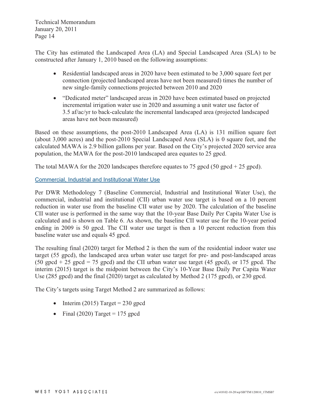The City has estimated the Landscaped Area (LA) and Special Landscaped Area (SLA) to be constructed after January 1, 2010 based on the following assumptions:

- $\bullet$  Residential landscaped areas in 2020 have been estimated to be 3,000 square feet per connection (projected landscaped areas have not been measured) times the number of new single-family connections projected between 2010 and 2020
- "Dedicated meter" landscaped areas in 2020 have been estimated based on projected incremental irrigation water use in 2020 and assuming a unit water use factor of 3.5 af/ac/yr to back-calculate the incremental landscaped area (projected landscaped areas have not been measured)

Based on these assumptions, the post-2010 Landscaped Area (LA) is 131 million square feet (about 3,000 acres) and the post-2010 Special Landscaped Area (SLA) is 0 square feet, and the calculated MAWA is 2.9 billion gallons per year. Based on the City's projected 2020 service area population, the MAWA for the post-2010 landscaped area equates to 25 gpcd.

The total MAWA for the 2020 landscapes therefore equates to 75 gpcd  $(50 \text{ gpcd} + 25 \text{ gpcd})$ .

Commercial, Industrial and Institutional Water Use

Per DWR Methodology 7 (Baseline Commercial, Industrial and Institutional Water Use), the commercial, industrial and institutional (CII) urban water use target is based on a 10 percent reduction in water use from the baseline CII water use by 2020. The calculation of the baseline CII water use is performed in the same way that the 10-year Base Daily Per Capita Water Use is calculated and is shown on Table 6. As shown, the baseline CII water use for the 10-year period ending in 2009 is 50 gpcd. The CII water use target is then a 10 percent reduction from this baseline water use and equals 45 gpcd.

The resulting final (2020) target for Method 2 is then the sum of the residential indoor water use target (55 gpcd), the landscaped area urban water use target for pre- and post-landscaped areas (50 gpcd  $+ 25$  gpcd  $= 75$  gpcd) and the CII urban water use target (45 gpcd), or 175 gpcd. The interim (2015) target is the midpoint between the City's 10-Year Base Daily Per Capita Water Use (285 gpcd) and the final (2020) target as calculated by Method 2 (175 gpcd), or 230 gpcd.

The City's targets using Target Method 2 are summarized as follows:

- $\bullet$  Interim (2015) Target = 230 gpcd
- Final (2020) Target = 175 gpcd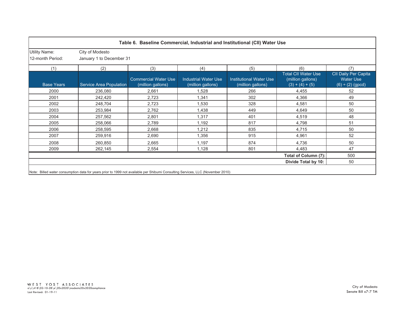|                                          |                                             |                                                  |                                                  | Table 6. Baseline Commercial, Industrial and Institutional (CII) Water Use |                                                                      |                                                                       |
|------------------------------------------|---------------------------------------------|--------------------------------------------------|--------------------------------------------------|----------------------------------------------------------------------------|----------------------------------------------------------------------|-----------------------------------------------------------------------|
| <b>Utility Name:</b><br>12-month Period: | City of Modesto<br>January 1 to December 31 |                                                  |                                                  |                                                                            |                                                                      |                                                                       |
| (1)                                      | (2)                                         | (3)                                              | (4)                                              | (5)                                                                        | (6)                                                                  | (7)                                                                   |
| <b>Base Years</b>                        | Service Area Population                     | <b>Commercial Water Use</b><br>(million gallons) | <b>Industrial Water Use</b><br>(million gallons) | Institutional Water Use<br>(million gallons)                               | <b>Total CII Water Use</b><br>(million gallons)<br>$(3) + (4) + (5)$ | <b>CII Daily Per Capita</b><br><b>Water Use</b><br>$(6) + (2)$ (gpcd) |
| 2000                                     | 236,080                                     | 2,661                                            | 1,528                                            | 266                                                                        | 4,455                                                                | 52                                                                    |
| 2001                                     | 242,420                                     | 2,723                                            | 1,341                                            | 302                                                                        | 4,366                                                                | 49                                                                    |
| 2002                                     | 248,704                                     | 2,723                                            | 1,530                                            | 328                                                                        | 4,581                                                                | 50                                                                    |
| 2003                                     | 253,984                                     | 2,762                                            | 1,438                                            | 449                                                                        | 4,649                                                                | 50                                                                    |
| 2004                                     | 257,562                                     | 2,801                                            | 1,317                                            | 401                                                                        | 4,519                                                                | 48                                                                    |
| 2005                                     | 258,066                                     | 2,789                                            | 1,192                                            | 817                                                                        | 4,798                                                                | 51                                                                    |
| 2006                                     | 258,595                                     | 2,668                                            | 1,212                                            | 835                                                                        | 4,715                                                                | 50                                                                    |
| 2007                                     | 259,916                                     | 2,690                                            | 1,356                                            | 915                                                                        | 4,961                                                                | 52                                                                    |
| 2008                                     | 260,850                                     | 2,665                                            | 1,197                                            | 874                                                                        | 4,736                                                                | 50                                                                    |
| 2009                                     | 262,145                                     | 2,554                                            | 1,128                                            | 801                                                                        | 4,483                                                                | 47                                                                    |
|                                          |                                             |                                                  |                                                  |                                                                            | Total of Column (7):                                                 | 500                                                                   |
|                                          |                                             |                                                  |                                                  |                                                                            | Divide Total by 10:                                                  | 50                                                                    |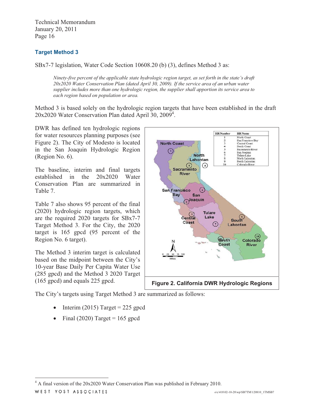# **Target Method 3**

SBx7-7 legislation, Water Code Section 10608.20 (b) (3), defines Method 3 as:

*Ninety-five percent of the applicable state hydrologic region target, as set forth in the state's draft 20x2020 Water Conservation Plan (dated April 30, 2009). If the service area of an urban water supplier includes more than one hydrologic region, the supplier shall apportion its service area to each region based on population or area.* 

Method 3 is based solely on the hydrologic region targets that have been established in the draft 20x2020 Water Conservation Plan dated April 30, 2009<sup>4</sup>.

DWR has defined ten hydrologic regions for water resources planning purposes (see Figure 2). The City of Modesto is located in the San Joaquin Hydrologic Region (Region No. 6).

The baseline, interim and final targets established in the 20x2020 Water Conservation Plan are summarized in Table 7.

Table 7 also shows 95 percent of the final (2020) hydrologic region targets, which are the required 2020 targets for SBx7-7 Target Method 3. For the City, the 2020 target is 165 gpcd (95 percent of the Region No. 6 target).

The Method 3 interim target is calculated based on the midpoint between the City's 10-year Base Daily Per Capita Water Use (285 gpcd) and the Method 3 2020 Target (165 gpcd) and equals 225 gpcd.



The City's targets using Target Method 3 are summarized as follows:

- -Interim (2015) Target  $= 225$  gpcd
- -Final (2020) Target =  $165$  gpcd

WEST YOST ASSOCIATES

<sup>&</sup>lt;sup>4</sup> A final version of the 20x2020 Water Conservation Plan was published in February 2010.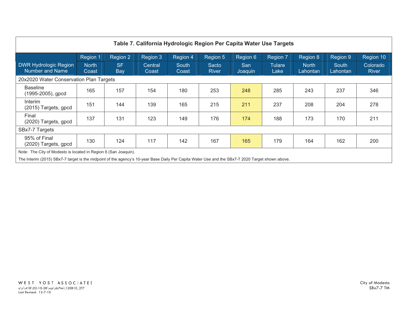| Table 7. California Hydrologic Region Per Capita Water Use Targets                                                                               |                       |                  |                  |                |                       |                |                       |                          |                   |                   |
|--------------------------------------------------------------------------------------------------------------------------------------------------|-----------------------|------------------|------------------|----------------|-----------------------|----------------|-----------------------|--------------------------|-------------------|-------------------|
|                                                                                                                                                  | Region 1              | Region 2         | Region 3         | Region 4       | Region 5              | Region 6       | Region 7              | Region 8                 | Region 9          | Region 10         |
| <b>DWR Hydrologic Region</b><br><b>Number and Name</b>                                                                                           | <b>North</b><br>Coast | <b>SF</b><br>Bay | Central<br>Coast | South<br>Coast | Sacto<br><b>River</b> | San<br>Joaquin | <b>Tulare</b><br>Lake | <b>North</b><br>Lahontan | South<br>Lahontan | Colorado<br>River |
| 20x2020 Water Conservation Plan Targets                                                                                                          |                       |                  |                  |                |                       |                |                       |                          |                   |                   |
| <b>Baseline</b><br>(1995-2005), gpcd                                                                                                             | 165                   | 157              | 154              | 180            | 253                   | 248            | 285                   | 243                      | 237               | 346               |
| Interim<br>(2015) Targets, gpcd                                                                                                                  | 151                   | 144              | 139              | 165            | 215                   | 211            | 237                   | 208                      | 204               | 278               |
| Final<br>(2020) Targets, gpcd                                                                                                                    | 137                   | 131              | 123              | 149            | 176                   | 174            | 188                   | 173                      | 170               | 211               |
| SBx7-7 Targets                                                                                                                                   |                       |                  |                  |                |                       |                |                       |                          |                   |                   |
| 95% of Final<br>(2020) Targets, gpcd                                                                                                             | 130                   | 124              | 117              | 142            | 167                   | 165            | 179                   | 164                      | 162               | 200               |
| Note: The City of Modesto is located in Region 6 (San Joaquin).                                                                                  |                       |                  |                  |                |                       |                |                       |                          |                   |                   |
| The Interim (2015) SBx7-7 target is the midpoint of the agency's 10-year Base Daily Per Capita Water Use and the SBx7-7 2020 Target shown above. |                       |                  |                  |                |                       |                |                       |                          |                   |                   |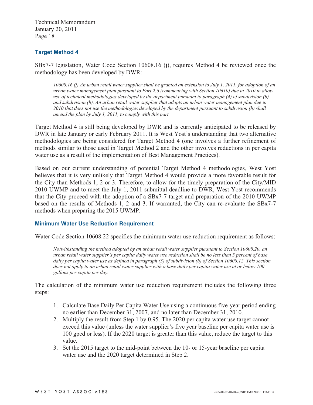## **Target Method 4**

SBx7-7 legislation, Water Code Section 10608.16 (j), requires Method 4 be reviewed once the methodology has been developed by DWR:

*10608.16 (j) An urban retail water supplier shall be granted an extension to July 1, 2011, for adoption of an urban water management plan pursuant to Part 2.6 (commencing with Section 10610) due in 2010 to allow use of technical methodologies developed by the department pursuant to paragraph (4) of subdivision (b) and subdivision (h). An urban retail water supplier that adopts an urban water management plan due in 2010 that does not use the methodologies developed by the department pursuant to subdivision (h) shall amend the plan by July 1, 2011, to comply with this part.* 

Target Method 4 is still being developed by DWR and is currently anticipated to be released by DWR in late January or early February 2011. It is West Yost's understanding that two alternative methodologies are being considered for Target Method 4 (one involves a further refinement of methods similar to those used in Target Method 2 and the other involves reductions in per capita water use as a result of the implementation of Best Management Practices).

Based on our current understanding of potential Target Method 4 methodologies, West Yost believes that it is very unlikely that Target Method 4 would provide a more favorable result for the City than Methods 1, 2 or 3. Therefore, to allow for the timely preparation of the City/MID 2010 UWMP and to meet the July 1, 2011 submittal deadline to DWR, West Yost recommends that the City proceed with the adoption of a SBx7-7 target and preparation of the 2010 UWMP based on the results of Methods 1, 2 and 3. If warranted, the City can re-evaluate the SBx7-7 methods when preparing the 2015 UWMP.

#### **Minimum Water Use Reduction Requirement**

Water Code Section 10608.22 specifies the minimum water use reduction requirement as follows:

*Notwithstanding the method adopted by an urban retail water supplier pursuant to Section 10608.20, an urban retail water supplier's per capita daily water use reduction shall be no less than 5 percent of base daily per capita water use as defined in paragraph (3) of subdivision (b) of Section 10608.12. This section* does not apply to an urban retail water supplier with a base daily per capita water use at or below 100 *gallons per capita per day.* 

The calculation of the minimum water use reduction requirement includes the following three steps:

- 1. Calculate Base Daily Per Capita Water Use using a continuous five-year period ending no earlier than December 31, 2007, and no later than December 31, 2010.
- 2. Multiply the result from Step 1 by 0.95. The 2020 per capita water use target cannot exceed this value (unless the water supplier's five year baseline per capita water use is 100 gpcd or less). If the 2020 target is greater than this value, reduce the target to this value.
- 3. Set the 2015 target to the mid-point between the 10- or 15-year baseline per capita water use and the 2020 target determined in Step 2.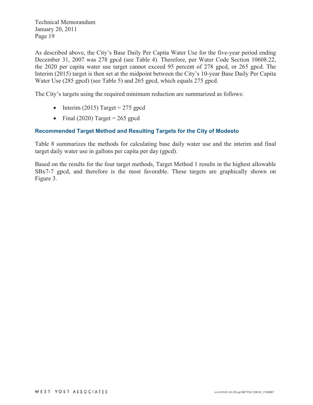As described above, the City's Base Daily Per Capita Water Use for the five-year period ending December 31, 2007 was 278 gpcd (see Table 4). Therefore, per Water Code Section 10608.22, the 2020 per capita water use target cannot exceed 95 percent of 278 gpcd, or 265 gpcd. The Interim (2015) target is then set at the midpoint between the City's 10-year Base Daily Per Capita Water Use (285 gpcd) (see Table 5) and 265 gpcd, which equals 275 gpcd.

The City's targets using the required minimum reduction are summarized as follows:

- $\bullet$  Interim (2015) Target = 275 gpcd
- $\bullet$  Final (2020) Target = 265 gpcd

## **Recommended Target Method and Resulting Targets for the City of Modesto**

Table 8 summarizes the methods for calculating base daily water use and the interim and final target daily water use in gallons per capita per day (gpcd).

Based on the results for the four target methods, Target Method 1 results in the highest allowable SBx7-7 gpcd, and therefore is the most favorable. These targets are graphically shown on Figure 3.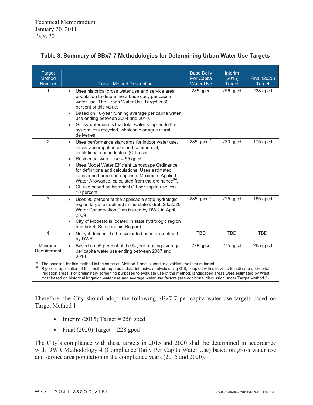| Table 8. Summary of SBx7-7 Methodologies for Determining Urban Water Use Targets |                                                                                                                                                                                                                                                                                                                                                                                                                                                                                                                   |                                                     |                                           |                               |  |  |  |  |  |
|----------------------------------------------------------------------------------|-------------------------------------------------------------------------------------------------------------------------------------------------------------------------------------------------------------------------------------------------------------------------------------------------------------------------------------------------------------------------------------------------------------------------------------------------------------------------------------------------------------------|-----------------------------------------------------|-------------------------------------------|-------------------------------|--|--|--|--|--|
| <b>Target</b><br>Method<br><b>Number</b>                                         | <b>Target Method Description</b>                                                                                                                                                                                                                                                                                                                                                                                                                                                                                  | <b>Base Daily</b><br>Per Capita<br><b>Water Use</b> | <b>Interim</b><br>(2015)<br><b>Target</b> | Final (2020)<br><b>Target</b> |  |  |  |  |  |
| 1                                                                                | Uses historical gross water use and service area<br>$\bullet$<br>population to determine a base daily per capita<br>water use. The Urban Water Use Target is 80<br>percent of this value.<br>Based on 10-year running average per capita water<br>$\bullet$<br>use ending between 2004 and 2010.<br>Gross water use is that total water supplied to the<br>$\bullet$<br>system less recycled, wholesale or agricultural<br>deliveries                                                                             | 285 gpcd                                            | 256 gpcd                                  | 228 gpcd                      |  |  |  |  |  |
| $\overline{2}$                                                                   | Uses performance standards for indoor water use,<br>$\bullet$<br>landscape irrigation use and commercial,<br>institutional and industrial (CII) uses.<br>Residential water use = 55 gpcd<br>$\bullet$<br>Uses Model Water Efficient Landscape Ordinance<br>$\bullet$<br>for definitions and calculations. Uses estimated<br>landscaped area and applies a Maximum Applied<br>Water Allowance, calculated from the ordinance <sup>(b)</sup> .<br>CII use based on historical CII per capita use less<br>10 percent | 285 $\text{gpcd}^{(\text{a})}$                      | 230 gpcd                                  | 175 gpcd                      |  |  |  |  |  |
| 3                                                                                | Uses 95 percent of the applicable state hydrologic<br>$\bullet$<br>region target as defined in the state's draft 20x2020<br>Water Conservation Plan issued by DWR in April<br>2009<br>City of Modesto is located in state hydrologic region<br>$\bullet$<br>number 6 (San Joaquin Region)                                                                                                                                                                                                                         | 285 $\text{gpcd}^{(\text{a})}$                      | 225 gpcd                                  | 165 gpcd                      |  |  |  |  |  |
| $\overline{4}$                                                                   | Not yet defined. To be evaluated once it is defined<br>$\bullet$<br>by DWR.                                                                                                                                                                                                                                                                                                                                                                                                                                       | <b>TBD</b>                                          | <b>TBD</b>                                | <b>TBD</b>                    |  |  |  |  |  |
| Minimum<br>Requirement                                                           | Based on 95 percent of the 5-year running average<br>per capita water use ending between 2007 and<br>2010.                                                                                                                                                                                                                                                                                                                                                                                                        | 278 gpcd                                            | 275 gpcd                                  | 265 gpcd                      |  |  |  |  |  |
| (a)<br>(b)                                                                       | The baseline for this method is the same as Method 1 and is used to establish the interim target.<br>Pigeraus application of this method requires a data intensive applysis using CIS, coupled with site visits to estimate appropriate                                                                                                                                                                                                                                                                           |                                                     |                                           |                               |  |  |  |  |  |

ous application of this method requires a data-intensive analysis using GIS, coupled with site visits to estimate appl irrigation areas. For preliminary screening purposes to evaluate use of the method, landscaped areas were estimated by West Yost based on historical irrigation water use and average water use factors (see additional discussion under Target Method 2).

Therefore, the City should adopt the following SBx7-7 per capita water use targets based on Target Method 1:

- $\bullet$ Interim (2015) Target =  $256$  gpcd
- $\bullet$ Final (2020) Target =  $228$  gpcd

The City's compliance with these targets in 2015 and 2020 shall be determined in accordance with DWR Methodology 4 (Compliance Daily Per Capita Water Use) based on gross water use and service area population in the compliance years (2015 and 2020).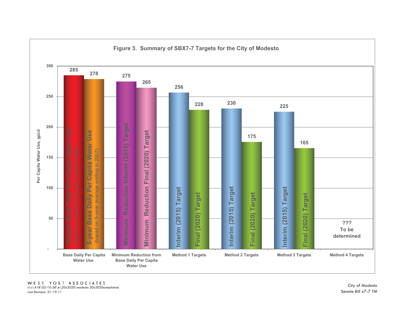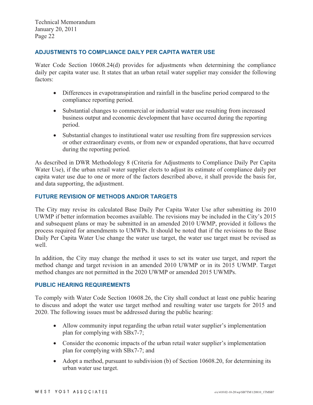#### **ADJUSTMENTS TO COMPLIANCE DAILY PER CAPITA WATER USE**

Water Code Section 10608.24(d) provides for adjustments when determining the compliance daily per capita water use. It states that an urban retail water supplier may consider the following factors:

- Differences in evapotranspiration and rainfall in the baseline period compared to the compliance reporting period.
- Substantial changes to commercial or industrial water use resulting from increased business output and economic development that have occurred during the reporting period.
- $\bullet$  Substantial changes to institutional water use resulting from fire suppression services or other extraordinary events, or from new or expanded operations, that have occurred during the reporting period.

As described in DWR Methodology 8 (Criteria for Adjustments to Compliance Daily Per Capita Water Use), if the urban retail water supplier elects to adjust its estimate of compliance daily per capita water use due to one or more of the factors described above, it shall provide the basis for, and data supporting, the adjustment.

#### **FUTURE REVISION OF METHODS AND/OR TARGETS**

The City may revise its calculated Base Daily Per Capita Water Use after submitting its 2010 UWMP if better information becomes available. The revisions may be included in the City's 2015 and subsequent plans or may be submitted in an amended 2010 UWMP, provided it follows the process required for amendments to UMWPs. It should be noted that if the revisions to the Base Daily Per Capita Water Use change the water use target, the water use target must be revised as well.

In addition, the City may change the method it uses to set its water use target, and report the method change and target revision in an amended 2010 UWMP or in its 2015 UWMP. Target method changes are not permitted in the 2020 UWMP or amended 2015 UWMPs.

#### **PUBLIC HEARING REQUIREMENTS**

To comply with Water Code Section 10608.26, the City shall conduct at least one public hearing to discuss and adopt the water use target method and resulting water use targets for 2015 and 2020. The following issues must be addressed during the public hearing:

- Allow community input regarding the urban retail water supplier's implementation plan for complying with SBx7-7;
- Consider the economic impacts of the urban retail water supplier's implementation plan for complying with SBx7-7; and
- Adopt a method, pursuant to subdivision (b) of Section 10608.20, for determining its urban water use target.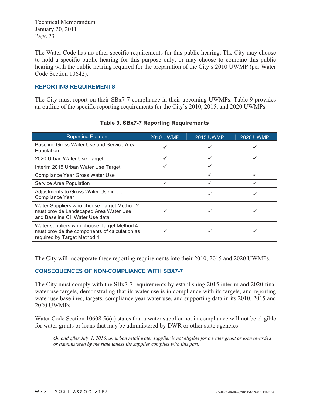The Water Code has no other specific requirements for this public hearing. The City may choose to hold a specific public hearing for this purpose only, or may choose to combine this public hearing with the public hearing required for the preparation of the City's 2010 UWMP (per Water Code Section 10642).

#### **REPORTING REQUIREMENTS**

The City must report on their SBx7-7 compliance in their upcoming UWMPs. Table 9 provides an outline of the specific reporting requirements for the City's 2010, 2015, and 2020 UWMPs.

| <b>Table 9. SBx7-7 Reporting Requirements</b>                                                                              |                  |                  |                  |  |  |  |  |  |  |  |
|----------------------------------------------------------------------------------------------------------------------------|------------------|------------------|------------------|--|--|--|--|--|--|--|
| <b>Reporting Element</b>                                                                                                   | <b>2010 UWMP</b> | <b>2015 UWMP</b> | <b>2020 UWMP</b> |  |  |  |  |  |  |  |
| Baseline Gross Water Use and Service Area<br>Population                                                                    | ✓                |                  |                  |  |  |  |  |  |  |  |
| 2020 Urban Water Use Target                                                                                                | ✓                | ✓                |                  |  |  |  |  |  |  |  |
| Interim 2015 Urban Water Use Target                                                                                        |                  |                  |                  |  |  |  |  |  |  |  |
| Compliance Year Gross Water Use                                                                                            |                  |                  |                  |  |  |  |  |  |  |  |
| Service Area Population                                                                                                    |                  |                  |                  |  |  |  |  |  |  |  |
| Adjustments to Gross Water Use in the<br>Compliance Year                                                                   |                  |                  |                  |  |  |  |  |  |  |  |
| Water Suppliers who choose Target Method 2<br>must provide Landscaped Area Water Use<br>and Baseline CII Water Use data    |                  |                  |                  |  |  |  |  |  |  |  |
| Water suppliers who choose Target Method 4<br>must provide the components of calculation as<br>required by Target Method 4 |                  |                  |                  |  |  |  |  |  |  |  |

The City will incorporate these reporting requirements into their 2010, 2015 and 2020 UWMPs.

#### **CONSEQUENCES OF NON-COMPLIANCE WITH SBX7-7**

The City must comply with the SBx7-7 requirements by establishing 2015 interim and 2020 final water use targets, demonstrating that its water use is in compliance with its targets, and reporting water use baselines, targets, compliance year water use, and supporting data in its 2010, 2015 and 2020 UWMPs.

Water Code Section 10608.56(a) states that a water supplier not in compliance will not be eligible for water grants or loans that may be administered by DWR or other state agencies:

*On and after July 1, 2016, an urban retail water supplier is not eligible for a water grant or loan awarded or administered by the state unless the supplier complies with this part.*